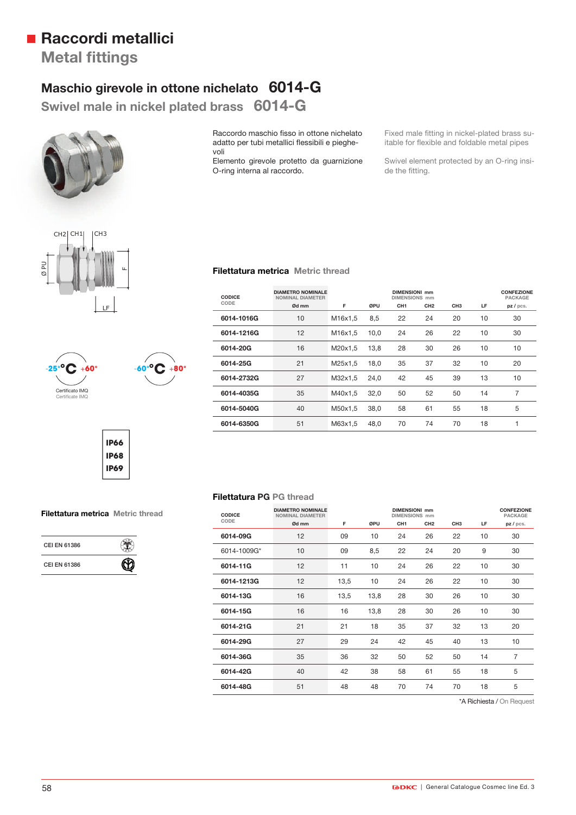## **Raccordi metallici**

**Metal fittings** 

## **Maschio girevole in ottone nichelato 6014-G**

**Swivel male in nickel plated brass 6014-G**



Raccordo maschio fisso in ottone nichelato adatto per tubi metallici flessibili e pieghevoli

Elemento girevole protetto da guarnizione O-ring interna al raccordo.

**Filettatura metrica Metric thread**

Fixed male fitting in nickel-plated brass suitable for flexible and foldable metal pipes

Swivel element protected by an O-ring inside the fitting.





**IP66 IP68**

# **IP69**

۹  $\, \circledR} \,$ 

**Filettatura metrica Metric thread**

**CEI EN 61386** 

**CEI EN 61386**

### **CODICE CODE DIAMETRO NOMINALE DIMENSIONI mm CONFEZIONE**<br>
NOMINAL DIAMETER<br>
DIMENSIONS mm PACKAGE **NOMINAL DIAMETER DIMENSIONS mm PACKAGE Ød mm F ØPU CH1 CH2 CH3 LF pz / pcs. 6014-1016G** 10 M16x1,5 8,5 22 24 20 10 30 **6014-1216G** 12 M16x1,5 10,0 24 26 22 10 30 **6014-20G** 16 M20x1,5 13,8 28 30 26 10 10 **6014-25G** 21 M25x1,5 18,0 35 37 32 10 20 **6014-2732G** 27 M32x1,5 24,0 42 45 39 13 10 **6014-4035G** 35 M40x1,5 32,0 50 52 50 14 7 **6014-5040G** 40 M50x1,5 38,0 58 61 55 18 5 **6014-6350G** 51 M63x1,5 48,0 70 74 70 18 1

## **Filettatura PG PG thread**

| <b>CODICE</b><br>CODE | <b>DIAMETRO NOMINALE</b><br><b>NOMINAL DIAMETER</b><br>Ød mm | F    | ØPU  | <b>DIMENSIONI mm</b><br><b>DIMENSIONS</b> mm<br>CH <sub>1</sub> | CH <sub>2</sub> | CH <sub>3</sub> | LF | <b>CONFEZIONE</b><br>PACKAGE<br>pz / pcs. |
|-----------------------|--------------------------------------------------------------|------|------|-----------------------------------------------------------------|-----------------|-----------------|----|-------------------------------------------|
| 6014-09G              | 12                                                           | 09   | 10   | 24                                                              | 26              | 22              | 10 | 30                                        |
| 6014-1009G*           | 10                                                           | 09   | 8,5  | 22                                                              | 24              | 20              | 9  | 30                                        |
| 6014-11G              | 12                                                           | 11   | 10   | 24                                                              | 26              | 22              | 10 | 30                                        |
| 6014-1213G            | 12                                                           | 13,5 | 10   | 24                                                              | 26              | 22              | 10 | 30                                        |
| 6014-13G              | 16                                                           | 13,5 | 13,8 | 28                                                              | 30              | 26              | 10 | 30                                        |
| 6014-15G              | 16                                                           | 16   | 13,8 | 28                                                              | 30              | 26              | 10 | 30                                        |
| 6014-21G              | 21                                                           | 21   | 18   | 35                                                              | 37              | 32              | 13 | 20                                        |
| 6014-29G              | 27                                                           | 29   | 24   | 42                                                              | 45              | 40              | 13 | 10                                        |
| 6014-36G              | 35                                                           | 36   | 32   | 50                                                              | 52              | 50              | 14 | $\overline{7}$                            |
| 6014-42G              | 40                                                           | 42   | 38   | 58                                                              | 61              | 55              | 18 | 5                                         |
| 6014-48G              | 51                                                           | 48   | 48   | 70                                                              | 74              | 70              | 18 | 5                                         |

\*A Richiesta / On Request